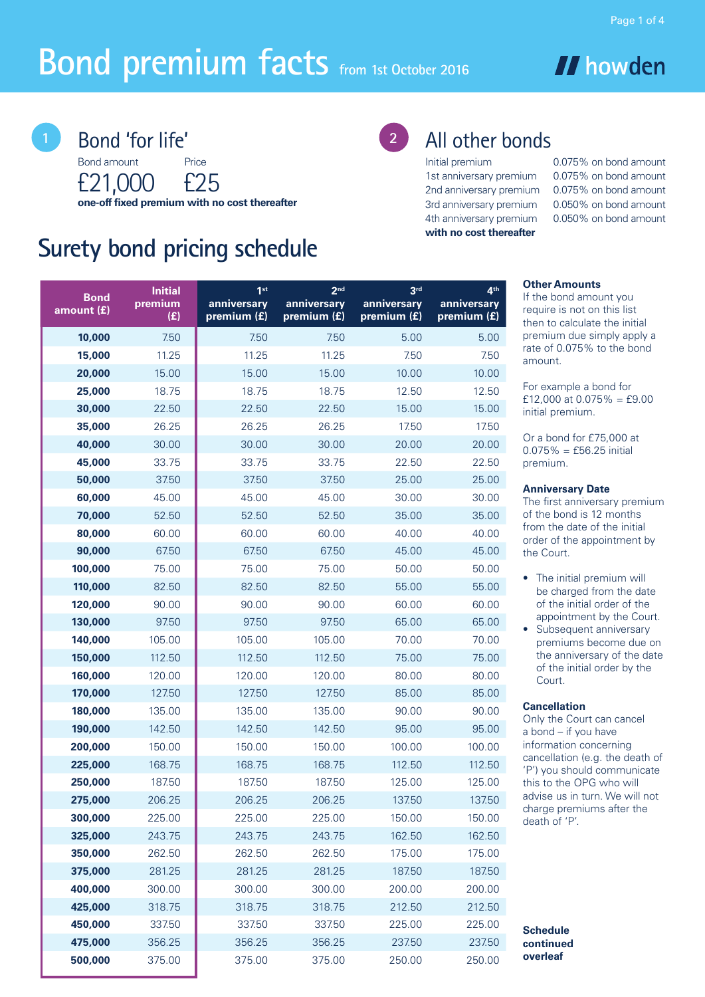# **Bond premium facts from 1st October 2016**

Bond amount Price **Bond 'for life'** 

£21,000 £25 **one-off fixed premium with no cost thereafter**

# **Surety bond pricing schedule**

# 2 All other bonds

**with no cost thereafter**

Initial premium 0.075% on bond amount 1st anniversary premium 0.075% on bond amount 2nd anniversary premium 0.075% on bond amount 3rd anniversary premium 0.050% on bond amount 4th anniversary premium 0.050% on bond amount

**// howden** 

#### **Other Amounts**

If the bond amount you require is not on this list then to calculate the initial premium due simply apply a rate of 0.075% to the bond amount.

For example a bond for £12,000 at  $0.075\% = £9.00$ initial premium.

Or a bond for £75,000 at  $0.075% = £56.25$  initial premium.

#### **Anniversary Date**

The first anniversary premium of the bond is 12 months from the date of the initial order of the appointment by the Court.

- The initial premium will be charged from the date of the initial order of the appointment by the Court.
- Subsequent anniversary premiums become due on the anniversary of the date of the initial order by the Court.

#### **Cancellation**

Only the Court can cancel a bond – if you have information concerning cancellation (e.g. the death of 'P') you should communicate this to the OPG who will advise us in turn. We will not charge premiums after the death of 'P'.

**Schedule continued overleaf**

| <b>Bond</b><br>amount (£) | <b>Initial</b><br>premium<br>(E) | 1 <sub>st</sub><br>anniversary<br>premium (£) | 2 <sub>nd</sub><br>anniversary<br>premium (£) | 3 <sup>rd</sup><br>anniversary<br>premium (£) | 4 <sup>th</sup><br>anniversary<br>premium (£) |
|---------------------------|----------------------------------|-----------------------------------------------|-----------------------------------------------|-----------------------------------------------|-----------------------------------------------|
| 10,000                    | 7.50                             | 7.50                                          | 7.50                                          | 5.00                                          | 5.00                                          |
| 15,000                    | 11.25                            | 11.25                                         | 11.25                                         | 7.50                                          | 7.50                                          |
| 20,000                    | 15.00                            | 15.00                                         | 15.00                                         | 10.00                                         | 10.00                                         |
| 25,000                    | 18.75                            | 18.75                                         | 18.75                                         | 12.50                                         | 12.50                                         |
| 30,000                    | 22.50                            | 22.50                                         | 22.50                                         | 15.00                                         | 15.00                                         |
| 35,000                    | 26.25                            | 26.25                                         | 26.25                                         | 17.50                                         | 17.50                                         |
| 40,000                    | 30.00                            | 30.00                                         | 30.00                                         | 20.00                                         | 20.00                                         |
| 45,000                    | 33.75                            | 33.75                                         | 33.75                                         | 22.50                                         | 22.50                                         |
| 50,000                    | 37.50                            | 37.50                                         | 37.50                                         | 25.00                                         | 25.00                                         |
| 60,000                    | 45.00                            | 45.00                                         | 45.00                                         | 30.00                                         | 30.00                                         |
| 70,000                    | 52.50                            | 52.50                                         | 52.50                                         | 35.00                                         | 35.00                                         |
| 80,000                    | 60.00                            | 60.00                                         | 60.00                                         | 40.00                                         | 40.00                                         |
| 90,000                    | 67.50                            | 67.50                                         | 67.50                                         | 45.00                                         | 45.00                                         |
| 100,000                   | 75.00                            | 75.00                                         | 75.00                                         | 50.00                                         | 50.00                                         |
| 110,000                   | 82.50                            | 82.50                                         | 82.50                                         | 55.00                                         | 55.00                                         |
| 120,000                   | 90.00                            | 90.00                                         | 90.00                                         | 60.00                                         | 60.00                                         |
| 130,000                   | 97.50                            | 97.50                                         | 97.50                                         | 65.00                                         | 65.00                                         |
| 140,000                   | 105.00                           | 105.00                                        | 105.00                                        | 70.00                                         | 70.00                                         |
| 150,000                   | 112.50                           | 112.50                                        | 112.50                                        | 75.00                                         | 75.00                                         |
| 160,000                   | 120.00                           | 120.00                                        | 120.00                                        | 80.00                                         | 80.00                                         |
| 170,000                   | 127.50                           | 127.50                                        | 127.50                                        | 85.00                                         | 85.00                                         |
| 180,000                   | 135.00                           | 135.00                                        | 135.00                                        | 90.00                                         | 90.00                                         |
| 190,000                   | 142.50                           | 142.50                                        | 142.50                                        | 95.00                                         | 95.00                                         |
| 200,000                   | 150.00                           | 150.00                                        | 150.00                                        | 100.00                                        | 100.00                                        |
| 225,000                   | 168.75                           | 168.75                                        | 168.75                                        | 112.50                                        | 112.50                                        |
| 250,000                   | 187.50                           | 187.50                                        | 187.50                                        | 125.00                                        | 125.00                                        |
| 275,000                   | 206.25                           | 206.25                                        | 206.25                                        | 137.50                                        | 137.50                                        |
| 300,000                   | 225.00                           | 225.00                                        | 225.00                                        | 150.00                                        | 150.00                                        |
| 325,000                   | 243.75                           | 243.75                                        | 243.75                                        | 162.50                                        | 162.50                                        |
| 350,000                   | 262.50                           | 262.50                                        | 262.50                                        | 175.00                                        | 175.00                                        |
| 375,000                   | 281.25                           | 281.25                                        | 281.25                                        | 187.50                                        | 187.50                                        |
| 400,000                   | 300.00                           | 300.00                                        | 300.00                                        | 200.00                                        | 200.00                                        |
| 425,000                   | 318.75                           | 318.75                                        | 318.75                                        | 212.50                                        | 212.50                                        |
| 450,000                   | 337.50                           | 337.50                                        | 337.50                                        | 225.00                                        | 225.00                                        |
| 475,000                   | 356.25                           | 356.25                                        | 356.25                                        | 237.50                                        | 237.50                                        |
| 500,000                   | 375.00                           | 375.00                                        | 375.00                                        | 250.00                                        | 250.00                                        |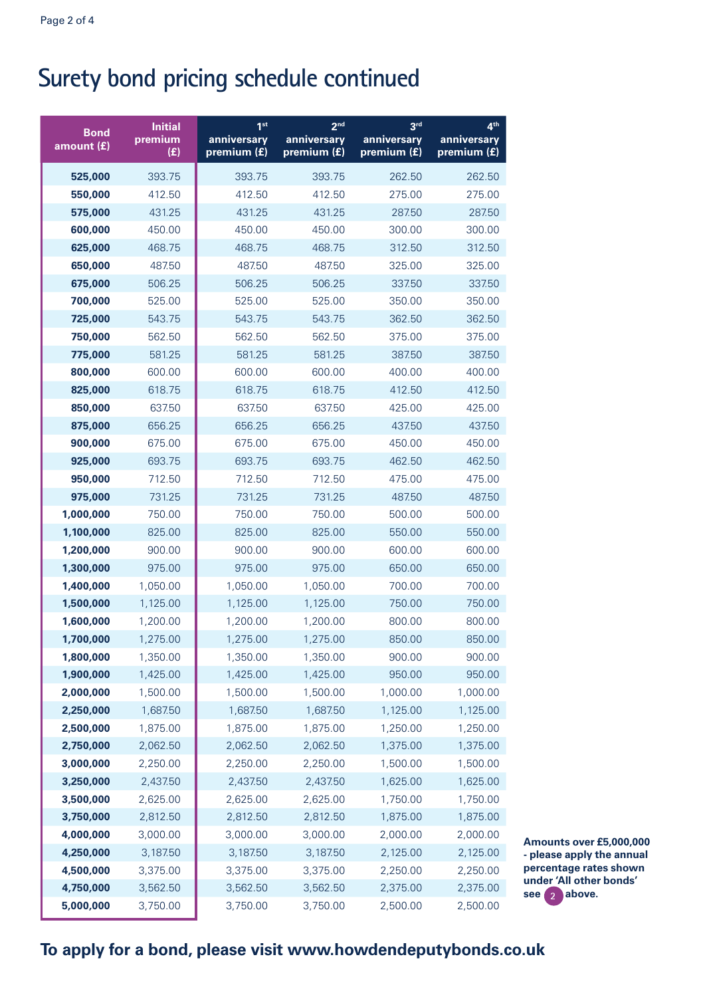# **Surety bond pricing schedule continued**

| <b>Bond</b><br>amount $(f)$ | <b>Initial</b><br>premium<br>(E) | 1 <sup>st</sup><br>anniversary<br>premium (£) | 2 <sub>nd</sub><br>anniversary<br>premium (£) | 3 <sup>rd</sup><br>anniversary<br>premium (£) | 4 <sup>th</sup><br>anniversary<br>premium (£) |
|-----------------------------|----------------------------------|-----------------------------------------------|-----------------------------------------------|-----------------------------------------------|-----------------------------------------------|
| 525,000                     | 393.75                           | 393.75                                        | 393.75                                        | 262.50                                        | 262.50                                        |
| 550,000                     | 412.50                           | 412.50                                        | 412.50                                        | 275.00                                        | 275.00                                        |
| 575,000                     | 431.25                           | 431.25                                        | 431.25                                        | 287.50                                        | 287.50                                        |
| 600,000                     | 450.00                           | 450.00                                        | 450.00                                        | 300.00                                        | 300.00                                        |
| 625,000                     | 468.75                           | 468.75                                        | 468.75                                        | 312.50                                        | 312.50                                        |
| 650,000                     | 487.50                           | 487.50                                        | 487.50                                        | 325.00                                        | 325.00                                        |
| 675,000                     | 506.25                           | 506.25                                        | 506.25                                        | 337.50                                        | 337.50                                        |
| 700,000                     | 525.00                           | 525.00                                        | 525.00                                        | 350.00                                        | 350.00                                        |
| 725,000                     | 543.75                           | 543.75                                        | 543.75                                        | 362.50                                        | 362.50                                        |
| 750,000                     | 562.50                           | 562.50                                        | 562.50                                        | 375.00                                        | 375.00                                        |
| 775,000                     | 581.25                           | 581.25                                        | 581.25                                        | 387.50                                        | 387.50                                        |
| 800,000                     | 600.00                           | 600.00                                        | 600.00                                        | 400.00                                        | 400.00                                        |
| 825,000                     | 618.75                           | 618.75                                        | 618.75                                        | 412.50                                        | 412.50                                        |
| 850,000                     | 637.50                           | 637.50                                        | 637.50                                        | 425.00                                        | 425.00                                        |
| 875,000                     | 656.25                           | 656.25                                        | 656.25                                        | 437.50                                        | 437.50                                        |
| 900,000                     | 675.00                           | 675.00                                        | 675.00                                        | 450.00                                        | 450.00                                        |
| 925,000                     | 693.75                           | 693.75                                        | 693.75                                        | 462.50                                        | 462.50                                        |
| 950,000                     | 712.50                           | 712.50                                        | 712.50                                        | 475.00                                        | 475.00                                        |
| 975,000                     | 731.25                           | 731.25                                        | 731.25                                        | 487.50                                        | 487.50                                        |
| 1,000,000                   | 750.00                           | 750.00                                        | 750.00                                        | 500.00                                        | 500.00                                        |
| 1,100,000                   | 825.00                           | 825.00                                        | 825.00                                        | 550.00                                        | 550.00                                        |
| 1,200,000                   | 900.00                           | 900.00                                        | 900.00                                        | 600.00                                        | 600.00                                        |
| 1,300,000                   | 975.00                           | 975.00                                        | 975.00                                        | 650.00                                        | 650.00                                        |
| 1,400,000                   | 1,050.00                         | 1,050.00                                      | 1,050.00                                      | 700.00                                        | 700.00                                        |
| 1,500,000                   | 1,125.00                         | 1,125.00                                      | 1,125.00                                      | 750.00                                        | 750.00                                        |
| 1,600,000                   | 1,200.00                         | 1,200.00                                      | 1,200.00                                      | 800.00                                        | 800.00                                        |
| 1,700,000                   | 1,275.00                         | 1,275.00                                      | 1,275.00                                      | 850.00                                        | 850.00                                        |
| 1,800,000<br>1,900,000      | 1,350.00                         | 1,350.00                                      | 1,350.00                                      | 900.00                                        | 900.00                                        |
| 2,000,000                   | 1,425.00<br>1,500.00             | 1,425.00<br>1,500.00                          | 1,425.00<br>1,500.00                          | 950.00<br>1,000.00                            | 950.00<br>1,000.00                            |
| 2,250,000                   | 1,687.50                         | 1,687.50                                      | 1,687.50                                      | 1,125.00                                      | 1,125.00                                      |
| 2,500,000                   | 1,875.00                         | 1,875.00                                      | 1,875.00                                      | 1,250.00                                      | 1,250.00                                      |
| 2,750,000                   | 2,062.50                         | 2,062.50                                      | 2,062.50                                      | 1,375.00                                      | 1,375.00                                      |
| 3,000,000                   | 2,250.00                         | 2,250.00                                      | 2,250.00                                      | 1,500.00                                      | 1,500.00                                      |
| 3,250,000                   | 2,437.50                         | 2,437.50                                      | 2,437.50                                      | 1,625.00                                      | 1,625.00                                      |
| 3,500,000                   | 2,625.00                         | 2,625.00                                      | 2,625.00                                      | 1,750.00                                      | 1,750.00                                      |
| 3,750,000                   | 2,812.50                         | 2,812.50                                      | 2,812.50                                      | 1,875.00                                      | 1,875.00                                      |
| 4,000,000                   | 3,000.00                         | 3,000.00                                      | 3,000.00                                      | 2,000.00                                      | 2,000.00                                      |
| 4,250,000                   | 3,187.50                         | 3,187.50                                      | 3,187.50                                      | 2,125.00                                      | 2,125.00                                      |
| 4,500,000                   | 3,375.00                         | 3,375.00                                      | 3,375.00                                      | 2,250.00                                      | 2,250.00                                      |
| 4,750,000                   | 3,562.50                         | 3,562.50                                      | 3,562.50                                      | 2,375.00                                      | 2,375.00                                      |
| 5,000,000                   | 3,750.00                         | 3,750.00                                      | 3,750.00                                      | 2,500.00                                      | 2,500.00                                      |

**z** above. **Amounts over £5,000,000 - please apply the annual percentage rates shown under 'All other bonds'** 

#### **To apply for a bond, please visit www.howdendeputybonds.co.uk**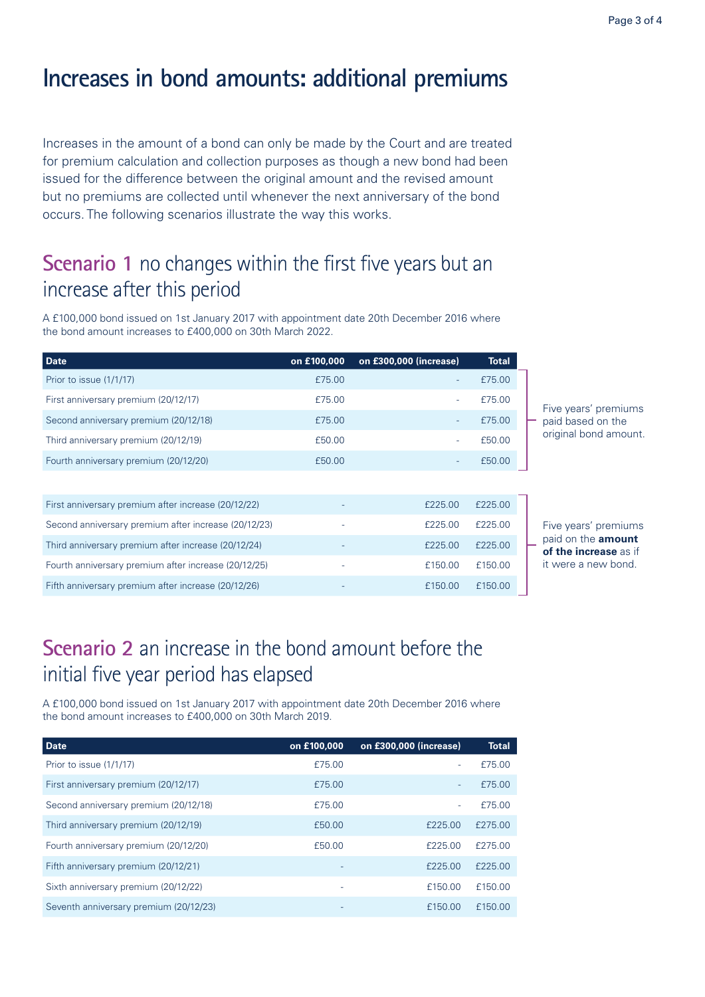# **Increases in bond amounts: additional premiums**

Increases in the amount of a bond can only be made by the Court and are treated for premium calculation and collection purposes as though a new bond had been issued for the difference between the original amount and the revised amount but no premiums are collected until whenever the next anniversary of the bond occurs. The following scenarios illustrate the way this works.

## **Scenario 1** no changes within the first five years but an increase after this period

A £100,000 bond issued on 1st January 2017 with appointment date 20th December 2016 where the bond amount increases to £400,000 on 30th March 2022.

| <b>Date</b>                                          | on £100,000 | on £300,000 (increase)   | <b>Total</b> |                 |
|------------------------------------------------------|-------------|--------------------------|--------------|-----------------|
| Prior to issue (1/1/17)                              | £75.00      |                          | £75.00       |                 |
| First anniversary premium (20/12/17)                 | £75.00      |                          | £75.00       | Fiy             |
| Second anniversary premium (20/12/18)                | £75.00      |                          | £75.00       | pa              |
| Third anniversary premium (20/12/19)                 | £50.00      |                          | £50.00       | or              |
| Fourth anniversary premium (20/12/20)                | £50.00      | $\overline{\phantom{a}}$ | £50.00       |                 |
|                                                      |             |                          |              |                 |
| First anniversary premium after increase (20/12/22)  |             | £225.00                  | £225.00      |                 |
| Second anniversary premium after increase (20/12/23) |             | £225.00                  | £225.00      | Fiy             |
| Third anniversary premium after increase (20/12/24)  |             | £225.00                  | £225.00      | рa<br><b>of</b> |
| Fourth anniversary premium after increase (20/12/25) |             | £150.00                  | £150.00      | it v            |
| Fifth anniversary premium after increase (20/12/26)  |             | £150.00                  | £150.00      |                 |

ve years' premiums aid based on the iginal bond amount.

ve years' premiums paid on the **amount the increase** as if were a new bond.

# **Scenario 2** an increase in the bond amount before the initial five year period has elapsed

A £100,000 bond issued on 1st January 2017 with appointment date 20th December 2016 where the bond amount increases to £400,000 on 30th March 2019.

| <b>Date</b>                            | on £100,000              | on £300,000 (increase) | Total   |
|----------------------------------------|--------------------------|------------------------|---------|
| Prior to issue (1/1/17)                | £75.00                   |                        | £75.00  |
| First anniversary premium (20/12/17)   | £75.00                   | ÷                      | £75.00  |
| Second anniversary premium (20/12/18)  | £75.00                   |                        | £75.00  |
| Third anniversary premium (20/12/19)   | £50.00                   | £225.00                | £275.00 |
| Fourth anniversary premium (20/12/20)  | £50.00                   | £225.00                | £275.00 |
| Fifth anniversary premium (20/12/21)   |                          | £225.00                | £225.00 |
| Sixth anniversary premium (20/12/22)   | $\overline{\phantom{a}}$ | £150.00                | £150.00 |
| Seventh anniversary premium (20/12/23) |                          | £150.00                | £150.00 |